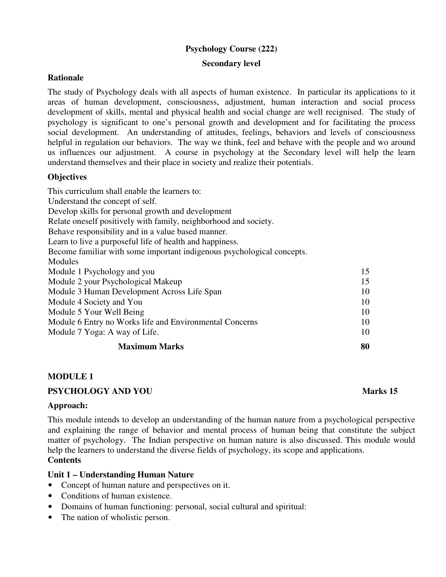# **Psychology Course (222)**

#### **Secondary level**

## **Rationale**

The study of Psychology deals with all aspects of human existence. In particular its applications to it areas of human development, consciousness, adjustment, human interaction and social process development of skills, mental and physical health and social change are well recignised. The study of psychology is significant to one's personal growth and development and for facilitating the process social development. An understanding of attitudes, feelings, behaviors and levels of consciousness helpful in regulation our behaviors. The way we think, feel and behave with the people and wo around us influences our adjustment. A course in psychology at the Secondary level will help the learn understand themselves and their place in society and realize their potentials.

## **Objectives**

This curriculum shall enable the learners to: Understand the concept of self. Develop skills for personal growth and development Relate oneself positively with family, neighborhood and society. Behave responsibility and in a value based manner. Learn to live a purposeful life of health and happiness. Become familiar with some important indigenous psychological concepts. Modules Module 1 Psychology and you 15 Module 2 your Psychological Makeup 15 Module 3 Human Development Across Life Span 10 Module 4 Society and You 10 Module 5 Your Well Being 10 Module 6 Entry no Works life and Environmental Concerns 10 Module 7 Yoga: A way of Life. 10 **Maximum Marks** 80

## **MODULE 1**

## **PSYCHOLOGY AND YOU Marks 15**

## **Approach:**

This module intends to develop an understanding of the human nature from a psychological perspective and explaining the range of behavior and mental process of human being that constitute the subject matter of psychology. The Indian perspective on human nature is also discussed. This module would help the learners to understand the diverse fields of psychology, its scope and applications. **Contents** 

## **Unit 1 – Understanding Human Nature**

- Concept of human nature and perspectives on it.
- Conditions of human existence.
- Domains of human functioning: personal, social cultural and spiritual:
- The nation of wholistic person.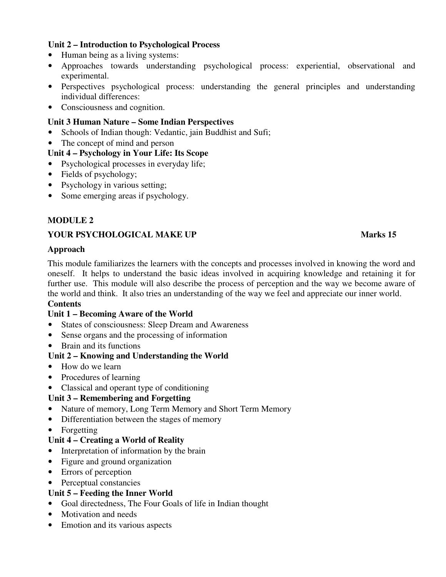## **Unit 2 – Introduction to Psychological Process**

- Human being as a living systems:
- Approaches towards understanding psychological process: experiential, observational and experimental.
- Perspectives psychological process: understanding the general principles and understanding individual differences:
- Consciousness and cognition.

#### **Unit 3 Human Nature – Some Indian Perspectives**

- Schools of Indian though: Vedantic, jain Buddhist and Sufi;
- The concept of mind and person

#### **Unit 4 – Psychology in Your Life: Its Scope**

- Psychological processes in everyday life;
- Fields of psychology;
- Psychology in various setting;
- Some emerging areas if psychology.

## **MODULE 2**

## **YOUR PSYCHOLOGICAL MAKE UP Marks 15**

#### **Approach**

This module familiarizes the learners with the concepts and processes involved in knowing the word and oneself. It helps to understand the basic ideas involved in acquiring knowledge and retaining it for further use. This module will also describe the process of perception and the way we become aware of the world and think. It also tries an understanding of the way we feel and appreciate our inner world.

## **Contents**

## **Unit 1 – Becoming Aware of the World**

- States of consciousness: Sleep Dream and Awareness
- Sense organs and the processing of information
- Brain and its functions

## **Unit 2 – Knowing and Understanding the World**

- How do we learn
- Procedures of learning
- Classical and operant type of conditioning

## **Unit 3 – Remembering and Forgetting**

- Nature of memory, Long Term Memory and Short Term Memory
- Differentiation between the stages of memory
- Forgetting

## **Unit 4 – Creating a World of Reality**

- Interpretation of information by the brain
- Figure and ground organization
- Errors of perception
- Perceptual constancies

## **Unit 5 – Feeding the Inner World**

- Goal directedness, The Four Goals of life in Indian thought
- Motivation and needs
- Emotion and its various aspects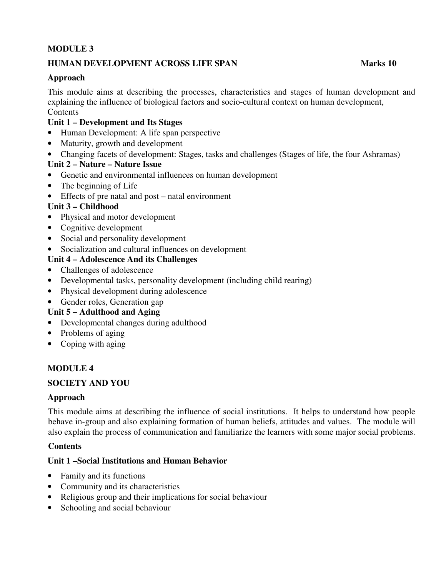# **MODULE 3**

## **HUMAN DEVELOPMENT ACROSS LIFE SPAN MARKS 10**

## **Approach**

This module aims at describing the processes, characteristics and stages of human development and explaining the influence of biological factors and socio-cultural context on human development, **Contents** 

## **Unit 1 – Development and Its Stages**

- Human Development: A life span perspective
- Maturity, growth and development
- Changing facets of development: Stages, tasks and challenges (Stages of life, the four Ashramas)

## **Unit 2 – Nature – Nature Issue**

- Genetic and environmental influences on human development
- The beginning of Life
- Effects of pre natal and post natal environment

## **Unit 3 – Childhood**

- Physical and motor development
- Cognitive development
- Social and personality development
- Socialization and cultural influences on development

## **Unit 4 – Adolescence And its Challenges**

- Challenges of adolescence
- Developmental tasks, personality development (including child rearing)
- Physical development during adolescence
- Gender roles, Generation gap

## **Unit 5 – Adulthood and Aging**

- Developmental changes during adulthood
- Problems of aging
- Coping with aging

## **MODULE 4**

## **SOCIETY AND YOU**

#### **Approach**

This module aims at describing the influence of social institutions. It helps to understand how people behave in-group and also explaining formation of human beliefs, attitudes and values. The module will also explain the process of communication and familiarize the learners with some major social problems.

## **Contents**

## **Unit 1 –Social Institutions and Human Behavior**

- Family and its functions
- Community and its characteristics
- Religious group and their implications for social behaviour
- Schooling and social behaviour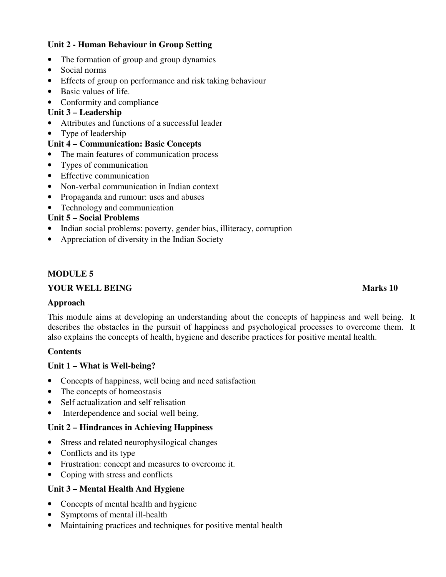## **Unit 2 - Human Behaviour in Group Setting**

- The formation of group and group dynamics
- Social norms
- Effects of group on performance and risk taking behaviour
- Basic values of life.
- Conformity and compliance

#### **Unit 3 – Leadership**

- Attributes and functions of a successful leader
- Type of leadership

#### **Unit 4 – Communication: Basic Concepts**

- The main features of communication process
- Types of communication
- Effective communication
- Non-verbal communication in Indian context
- Propaganda and rumour: uses and abuses
- Technology and communication

#### **Unit 5 – Social Problems**

- Indian social problems: poverty, gender bias, illiteracy, corruption
- Appreciation of diversity in the Indian Society

#### **MODULE 5**

#### **YOUR WELL BEING Marks 10**

#### **Approach**

This module aims at developing an understanding about the concepts of happiness and well being. It describes the obstacles in the pursuit of happiness and psychological processes to overcome them. It also explains the concepts of health, hygiene and describe practices for positive mental health.

## **Contents**

## **Unit 1 – What is Well-being?**

- Concepts of happiness, well being and need satisfaction
- The concepts of homeostasis
- Self actualization and self relisation
- Interdependence and social well being.

## **Unit 2 – Hindrances in Achieving Happiness**

- Stress and related neurophysilogical changes
- Conflicts and its type
- Frustration: concept and measures to overcome it.
- Coping with stress and conflicts

## **Unit 3 – Mental Health And Hygiene**

- Concepts of mental health and hygiene
- Symptoms of mental ill-health
- Maintaining practices and techniques for positive mental health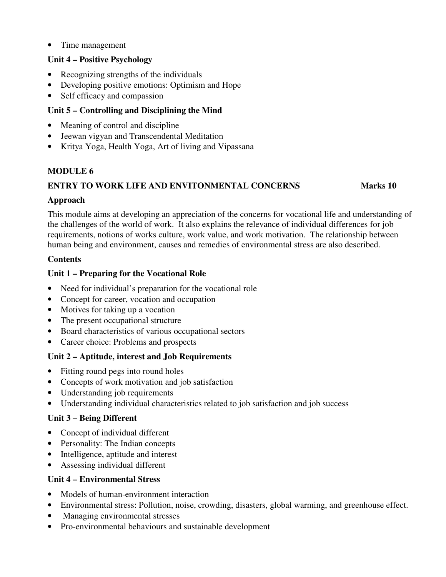• Time management

## **Unit 4 – Positive Psychology**

- Recognizing strengths of the individuals
- Developing positive emotions: Optimism and Hope
- Self efficacy and compassion

# **Unit 5 – Controlling and Disciplining the Mind**

- Meaning of control and discipline
- Jeewan vigyan and Transcendental Meditation
- Kritya Yoga, Health Yoga, Art of living and Vipassana

## **MODULE 6**

# **ENTRY TO WORK LIFE AND ENVITONMENTAL CONCERNS Marks 10**

## **Approach**

This module aims at developing an appreciation of the concerns for vocational life and understanding of the challenges of the world of work. It also explains the relevance of individual differences for job requirements, notions of works culture, work value, and work motivation. The relationship between human being and environment, causes and remedies of environmental stress are also described.

## **Contents**

## **Unit 1 – Preparing for the Vocational Role**

- Need for individual's preparation for the vocational role
- Concept for career, vocation and occupation
- Motives for taking up a vocation
- The present occupational structure
- Board characteristics of various occupational sectors
- Career choice: Problems and prospects

# **Unit 2 – Aptitude, interest and Job Requirements**

- Fitting round pegs into round holes
- Concepts of work motivation and job satisfaction
- Understanding job requirements
- Understanding individual characteristics related to job satisfaction and job success

# **Unit 3 – Being Different**

- Concept of individual different
- Personality: The Indian concepts
- Intelligence, aptitude and interest
- Assessing individual different

## **Unit 4 – Environmental Stress**

- Models of human-environment interaction
- Environmental stress: Pollution, noise, crowding, disasters, global warming, and greenhouse effect.
- Managing environmental stresses
- Pro-environmental behaviours and sustainable development